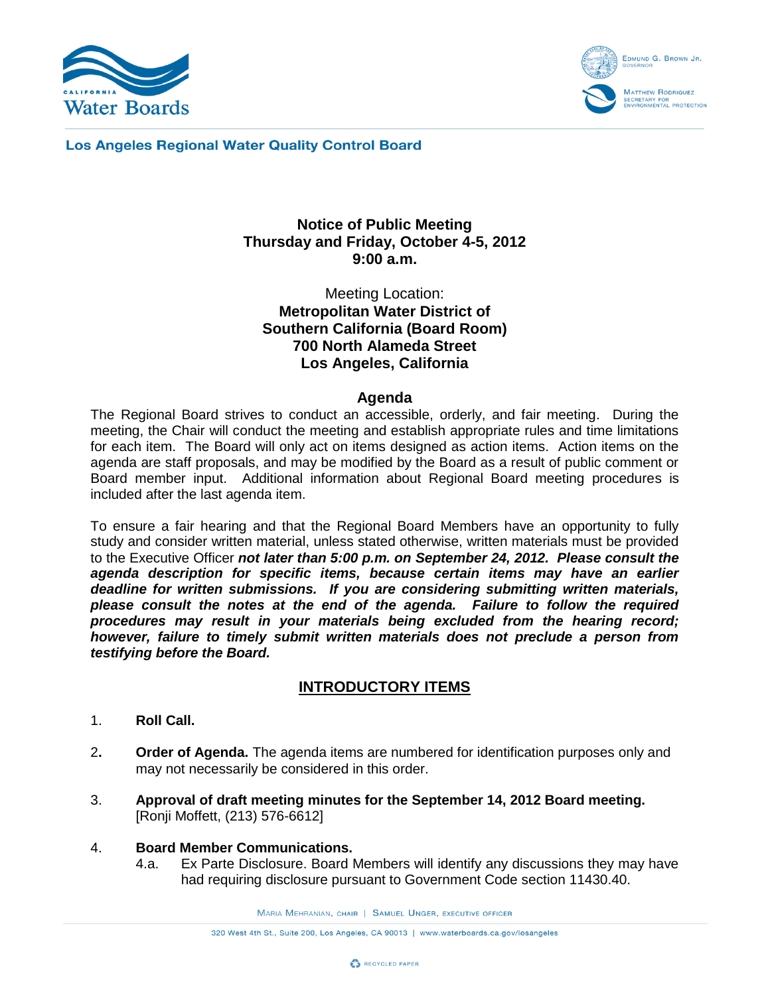



**Los Angeles Regional Water Quality Control Board** 

# **Notice of Public Meeting Thursday and Friday, October 4-5, 2012 9:00 a.m.**

Meeting Location: **Metropolitan Water District of Southern California (Board Room) 700 North Alameda Street Los Angeles, California**

#### **Agenda**

The Regional Board strives to conduct an accessible, orderly, and fair meeting. During the meeting, the Chair will conduct the meeting and establish appropriate rules and time limitations for each item. The Board will only act on items designed as action items. Action items on the agenda are staff proposals, and may be modified by the Board as a result of public comment or Board member input. Additional information about Regional Board meeting procedures is included after the last agenda item.

To ensure a fair hearing and that the Regional Board Members have an opportunity to fully study and consider written material, unless stated otherwise, written materials must be provided to the Executive Officer *not later than 5:00 p.m. on September 24, 2012. Please consult the agenda description for specific items, because certain items may have an earlier deadline for written submissions. If you are considering submitting written materials, please consult the notes at the end of the agenda. Failure to follow the required procedures may result in your materials being excluded from the hearing record; however, failure to timely submit written materials does not preclude a person from testifying before the Board.*

### **INTRODUCTORY ITEMS**

- 1. **Roll Call.**
- 2**. Order of Agenda.** The agenda items are numbered for identification purposes only and may not necessarily be considered in this order.
- 3. **Approval of draft meeting minutes for the September 14, 2012 Board meeting.** [Ronji Moffett, (213) 576-6612]
- 4. **Board Member Communications.**
	- 4.a. Ex Parte Disclosure. Board Members will identify any discussions they may have had requiring disclosure pursuant to Government Code section 11430.40.

MARIA MEHRANIAN, CHAIR | SAMUEL UNGER, EXECUTIVE OFFICER

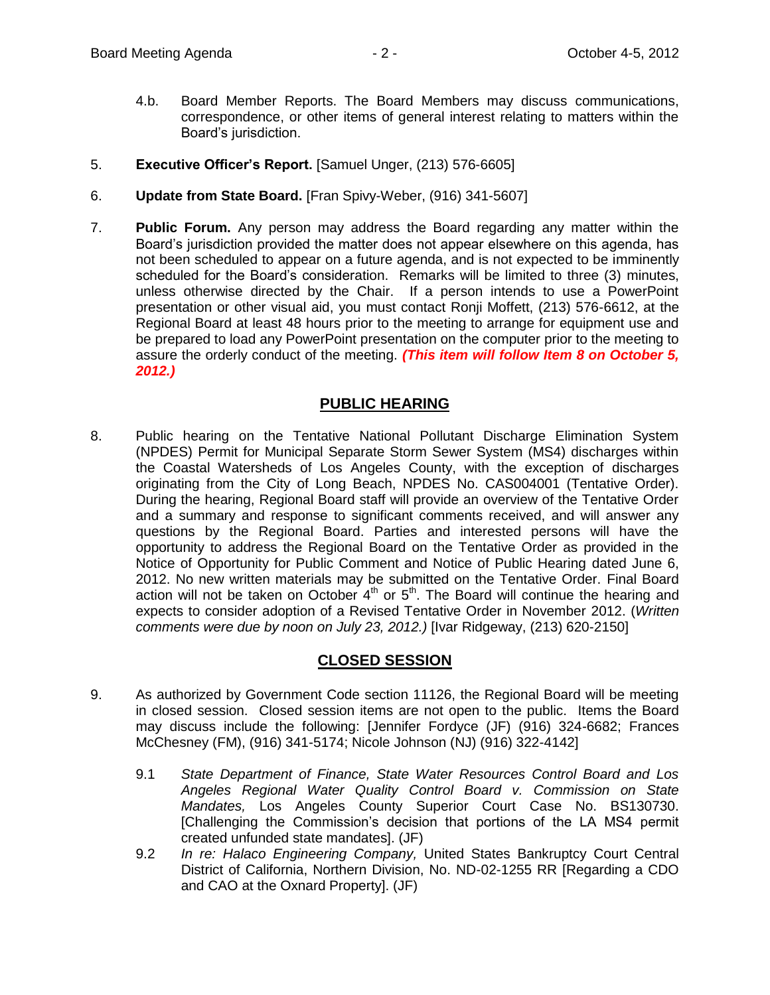- 4.b. Board Member Reports. The Board Members may discuss communications, correspondence, or other items of general interest relating to matters within the Board's jurisdiction.
- 5. **Executive Officer's Report.** [Samuel Unger, (213) 576-6605]
- 6. **Update from State Board.** [Fran Spivy-Weber, (916) 341-5607]
- 7. **Public Forum.** Any person may address the Board regarding any matter within the Board's jurisdiction provided the matter does not appear elsewhere on this agenda, has not been scheduled to appear on a future agenda, and is not expected to be imminently scheduled for the Board's consideration. Remarks will be limited to three (3) minutes, unless otherwise directed by the Chair. If a person intends to use a PowerPoint presentation or other visual aid, you must contact Ronji Moffett, (213) 576-6612, at the Regional Board at least 48 hours prior to the meeting to arrange for equipment use and be prepared to load any PowerPoint presentation on the computer prior to the meeting to assure the orderly conduct of the meeting. *(This item will follow Item 8 on October 5, 2012.)*

# **PUBLIC HEARING**

8. Public hearing on the Tentative National Pollutant Discharge Elimination System (NPDES) Permit for Municipal Separate Storm Sewer System (MS4) discharges within the Coastal Watersheds of Los Angeles County, with the exception of discharges originating from the City of Long Beach, NPDES No. CAS004001 (Tentative Order). During the hearing, Regional Board staff will provide an overview of the Tentative Order and a summary and response to significant comments received, and will answer any questions by the Regional Board. Parties and interested persons will have the opportunity to address the Regional Board on the Tentative Order as provided in the Notice of Opportunity for Public Comment and Notice of Public Hearing dated June 6, 2012. No new written materials may be submitted on the Tentative Order. Final Board action will not be taken on October  $4<sup>th</sup>$  or  $5<sup>th</sup>$ . The Board will continue the hearing and expects to consider adoption of a Revised Tentative Order in November 2012. (*Written comments were due by noon on July 23, 2012.)* [Ivar Ridgeway, (213) 620-2150]

### **CLOSED SESSION**

- 9. As authorized by Government Code section 11126, the Regional Board will be meeting in closed session. Closed session items are not open to the public. Items the Board may discuss include the following: [Jennifer Fordyce (JF) (916) 324-6682; Frances McChesney (FM), (916) 341-5174; Nicole Johnson (NJ) (916) 322-4142]
	- 9.1 *State Department of Finance, State Water Resources Control Board and Los Angeles Regional Water Quality Control Board v. Commission on State Mandates,* Los Angeles County Superior Court Case No. BS130730. [Challenging the Commission's decision that portions of the LA MS4 permit created unfunded state mandates]. (JF)
	- 9.2 *In re: Halaco Engineering Company,* United States Bankruptcy Court Central District of California, Northern Division, No. ND-02-1255 RR [Regarding a CDO and CAO at the Oxnard Property]. (JF)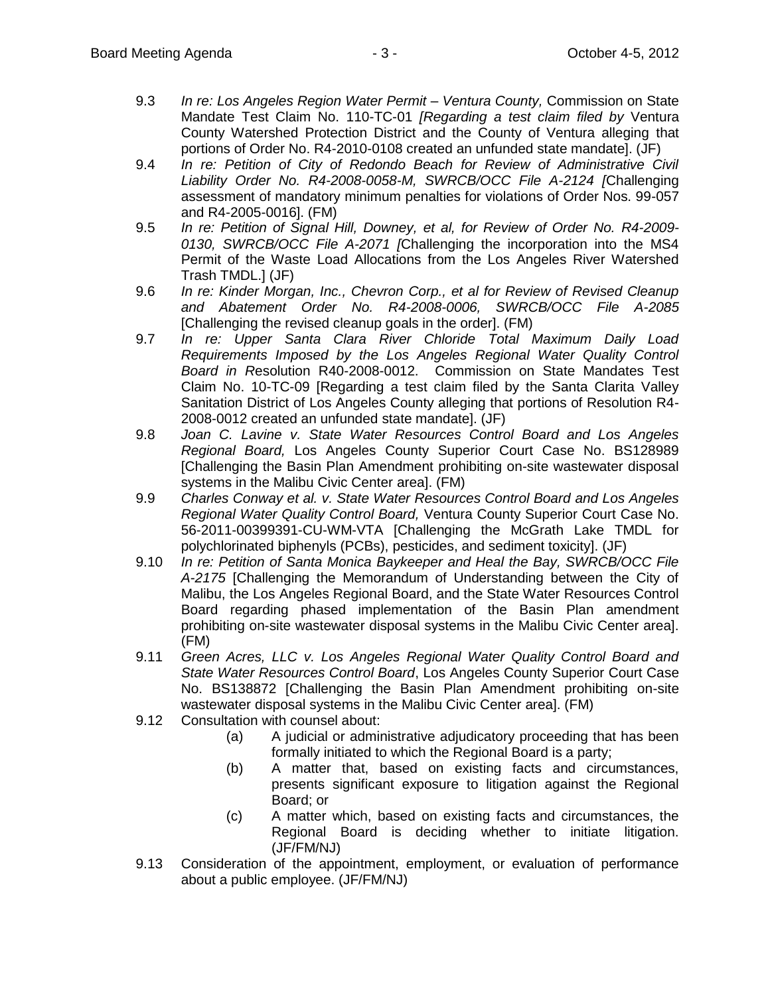- 9.3 *In re: Los Angeles Region Water Permit – Ventura County,* Commission on State Mandate Test Claim No. 110-TC-01 *[Regarding a test claim filed by* Ventura County Watershed Protection District and the County of Ventura alleging that portions of Order No. R4-2010-0108 created an unfunded state mandate]. (JF)
- 9.4 *In re: Petition of City of Redondo Beach for Review of Administrative Civil Liability Order No. R4-2008-0058-M, SWRCB/OCC File A-2124 [*Challenging assessment of mandatory minimum penalties for violations of Order Nos. 99-057 and R4-2005-0016]. (FM)
- 9.5 *In re: Petition of Signal Hill, Downey, et al, for Review of Order No. R4-2009- 0130, SWRCB/OCC File A-2071 [*Challenging the incorporation into the MS4 Permit of the Waste Load Allocations from the Los Angeles River Watershed Trash TMDL.] (JF)
- 9.6 *In re: Kinder Morgan, Inc., Chevron Corp., et al for Review of Revised Cleanup and Abatement Order No. R4-2008-0006, SWRCB/OCC File A-2085*  [Challenging the revised cleanup goals in the order]. (FM)
- 9.7 *In re: Upper Santa Clara River Chloride Total Maximum Daily Load Requirements Imposed by the Los Angeles Regional Water Quality Control Board in R*esolution R40-2008-0012. Commission on State Mandates Test Claim No. 10-TC-09 [Regarding a test claim filed by the Santa Clarita Valley Sanitation District of Los Angeles County alleging that portions of Resolution R4- 2008-0012 created an unfunded state mandate]. (JF)
- 9.8 *Joan C. Lavine v. State Water Resources Control Board and Los Angeles Regional Board,* Los Angeles County Superior Court Case No. BS128989 [Challenging the Basin Plan Amendment prohibiting on-site wastewater disposal systems in the Malibu Civic Center area]. (FM)
- 9.9 *Charles Conway et al. v. State Water Resources Control Board and Los Angeles Regional Water Quality Control Board,* Ventura County Superior Court Case No. 56-2011-00399391-CU-WM-VTA [Challenging the McGrath Lake TMDL for polychlorinated biphenyls (PCBs), pesticides, and sediment toxicity]. (JF)
- 9.10 *In re: Petition of Santa Monica Baykeeper and Heal the Bay, SWRCB/OCC File A-2175* [Challenging the Memorandum of Understanding between the City of Malibu, the Los Angeles Regional Board, and the State Water Resources Control Board regarding phased implementation of the Basin Plan amendment prohibiting on-site wastewater disposal systems in the Malibu Civic Center area]. (FM)
- 9.11 *Green Acres, LLC v. Los Angeles Regional Water Quality Control Board and State Water Resources Control Board*, Los Angeles County Superior Court Case No. BS138872 [Challenging the Basin Plan Amendment prohibiting on-site wastewater disposal systems in the Malibu Civic Center area]. (FM)
- 9.12 Consultation with counsel about:
	- (a) A judicial or administrative adjudicatory proceeding that has been formally initiated to which the Regional Board is a party;
	- (b) A matter that, based on existing facts and circumstances, presents significant exposure to litigation against the Regional Board; or
	- (c) A matter which, based on existing facts and circumstances, the Regional Board is deciding whether to initiate litigation. (JF/FM/NJ)
- 9.13 Consideration of the appointment, employment, or evaluation of performance about a public employee. (JF/FM/NJ)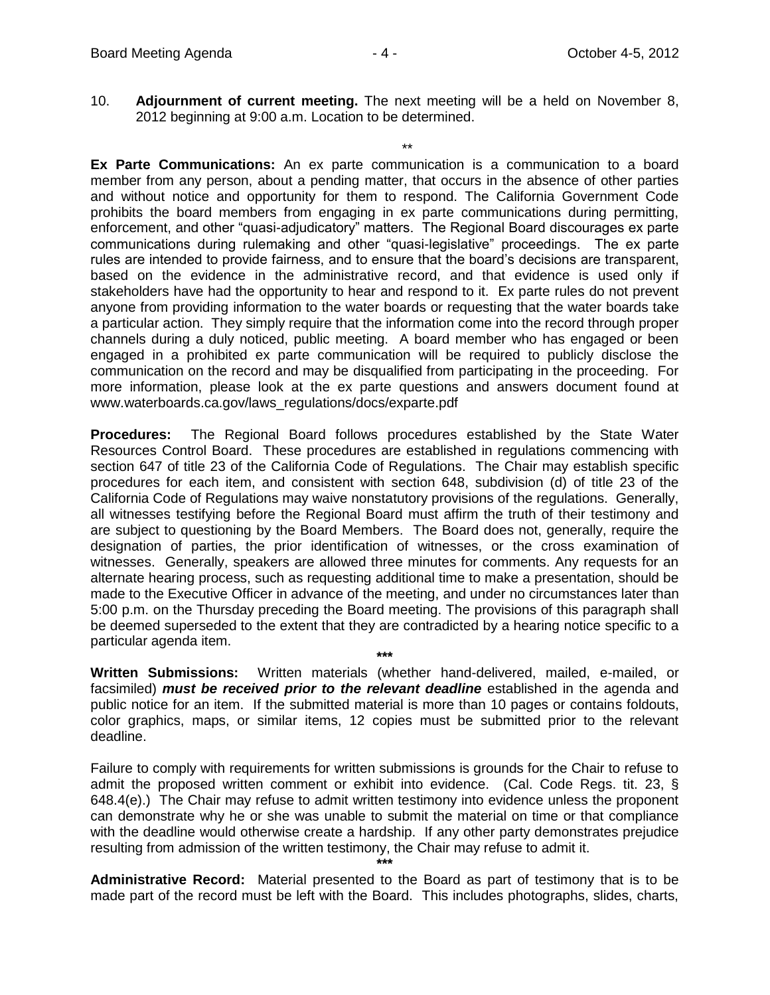10. **Adjournment of current meeting.** The next meeting will be a held on November 8, 2012 beginning at 9:00 a.m. Location to be determined.

\*\* **Ex Parte Communications:** An ex parte communication is a communication to a board member from any person, about a pending matter, that occurs in the absence of other parties and without notice and opportunity for them to respond. The California Government Code prohibits the board members from engaging in ex parte communications during permitting, enforcement, and other "quasi-adjudicatory" matters. The Regional Board discourages ex parte communications during rulemaking and other "quasi-legislative" proceedings. The ex parte rules are intended to provide fairness, and to ensure that the board's decisions are transparent, based on the evidence in the administrative record, and that evidence is used only if stakeholders have had the opportunity to hear and respond to it. Ex parte rules do not prevent anyone from providing information to the water boards or requesting that the water boards take a particular action. They simply require that the information come into the record through proper channels during a duly noticed, public meeting. A board member who has engaged or been engaged in a prohibited ex parte communication will be required to publicly disclose the communication on the record and may be disqualified from participating in the proceeding. For more information, please look at the ex parte questions and answers document found at www.waterboards.ca.gov/laws\_regulations/docs/exparte.pdf

**Procedures:** The Regional Board follows procedures established by the State Water Resources Control Board. These procedures are established in regulations commencing with section 647 of title 23 of the California Code of Regulations. The Chair may establish specific procedures for each item, and consistent with section 648, subdivision (d) of title 23 of the California Code of Regulations may waive nonstatutory provisions of the regulations. Generally, all witnesses testifying before the Regional Board must affirm the truth of their testimony and are subject to questioning by the Board Members. The Board does not, generally, require the designation of parties, the prior identification of witnesses, or the cross examination of witnesses. Generally, speakers are allowed three minutes for comments. Any requests for an alternate hearing process, such as requesting additional time to make a presentation, should be made to the Executive Officer in advance of the meeting, and under no circumstances later than 5:00 p.m. on the Thursday preceding the Board meeting. The provisions of this paragraph shall be deemed superseded to the extent that they are contradicted by a hearing notice specific to a particular agenda item.

**\*\*\* Written Submissions:** Written materials (whether hand-delivered, mailed, e-mailed, or facsimiled) *must be received prior to the relevant deadline* established in the agenda and public notice for an item. If the submitted material is more than 10 pages or contains foldouts, color graphics, maps, or similar items, 12 copies must be submitted prior to the relevant deadline.

Failure to comply with requirements for written submissions is grounds for the Chair to refuse to admit the proposed written comment or exhibit into evidence. (Cal. Code Regs. tit. 23, § 648.4(e).) The Chair may refuse to admit written testimony into evidence unless the proponent can demonstrate why he or she was unable to submit the material on time or that compliance with the deadline would otherwise create a hardship. If any other party demonstrates prejudice resulting from admission of the written testimony, the Chair may refuse to admit it.

**\*\*\***

**Administrative Record:** Material presented to the Board as part of testimony that is to be made part of the record must be left with the Board. This includes photographs, slides, charts,